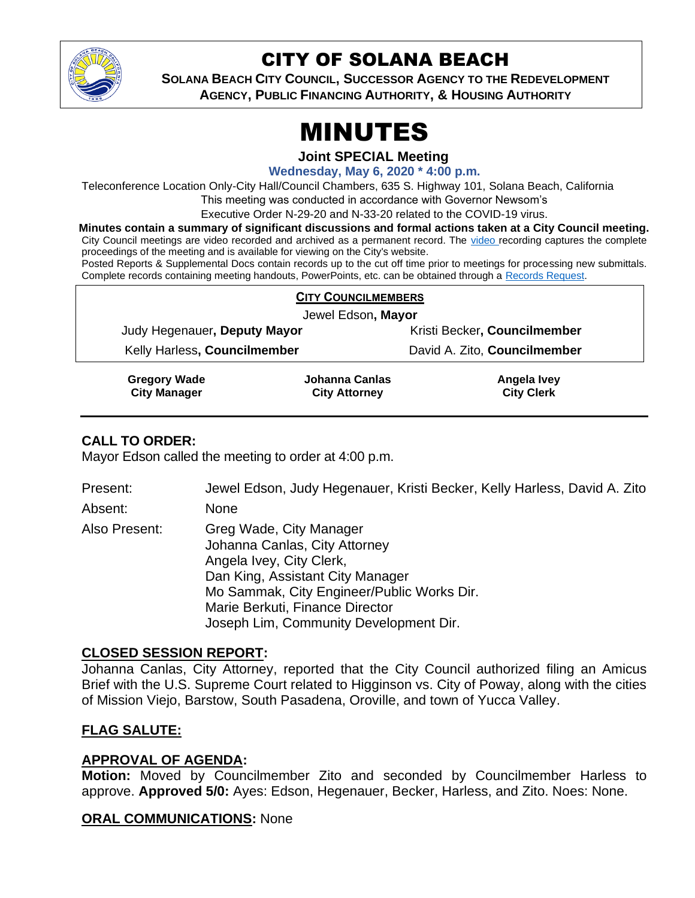

# CITY OF SOLANA BEACH

**SOLANA BEACH CITY COUNCIL, SUCCESSOR AGENCY TO THE REDEVELOPMENT AGENCY, PUBLIC FINANCING AUTHORITY, & HOUSING AUTHORITY**

# MINUTES

**Joint SPECIAL Meeting**

**Wednesday, May 6, 2020 \* 4:00 p.m.**

Teleconference Location Only-City Hall/Council Chambers, 635 S. Highway 101, Solana Beach, California

This meeting was conducted in accordance with Governor Newsom's

Executive Order N-29-20 and N-33-20 related to the COVID-19 virus.

**Minutes contain a summary of significant discussions and formal actions taken at a City Council meeting.** City Council meetings are [video r](https://solanabeach.12milesout.com/#page=1)ecorded and archived as a permanent record. The video recording captures the complete

proceedings of the meeting and is available for viewing on the City's website. Posted Reports & Supplemental Docs contain records up to the cut off time prior to meetings for processing new submittals. Complete records containing meeting handouts, PowerPoints, etc. can be obtained through a [Records Request.](http://www.ci.solana-beach.ca.us/index.asp?SEC=F5D45D10-70CE-4291-A27C-7BD633FC6742&Type=B_BASIC)

| <b>CITY COUNCILMEMBERS</b>   |                              |
|------------------------------|------------------------------|
| Jewel Edson, Mayor           |                              |
| Judy Hegenauer, Deputy Mayor | Kristi Becker, Councilmember |
| Kelly Harless, Councilmember | David A. Zito, Councilmember |
|                              |                              |

**Gregory Wade City Manager Johanna Canlas City Attorney Angela Ivey City Clerk**

### **CALL TO ORDER:**

Mayor Edson called the meeting to order at 4:00 p.m.

Present: Jewel Edson, Judy Hegenauer, Kristi Becker, Kelly Harless, David A. Zito

Absent: None

Also Present: Greg Wade, City Manager Johanna Canlas, City Attorney Angela Ivey, City Clerk, Dan King, Assistant City Manager Mo Sammak, City Engineer/Public Works Dir. Marie Berkuti, Finance Director Joseph Lim, Community Development Dir.

### **CLOSED SESSION REPORT:**

Johanna Canlas, City Attorney, reported that the City Council authorized filing an Amicus Brief with the U.S. Supreme Court related to Higginson vs. City of Poway, along with the cities of Mission Viejo, Barstow, South Pasadena, Oroville, and town of Yucca Valley.

### **FLAG SALUTE:**

### **APPROVAL OF AGENDA:**

**Motion:** Moved by Councilmember Zito and seconded by Councilmember Harless to approve. **Approved 5/0:** Ayes: Edson, Hegenauer, Becker, Harless, and Zito. Noes: None.

### **ORAL COMMUNICATIONS:** None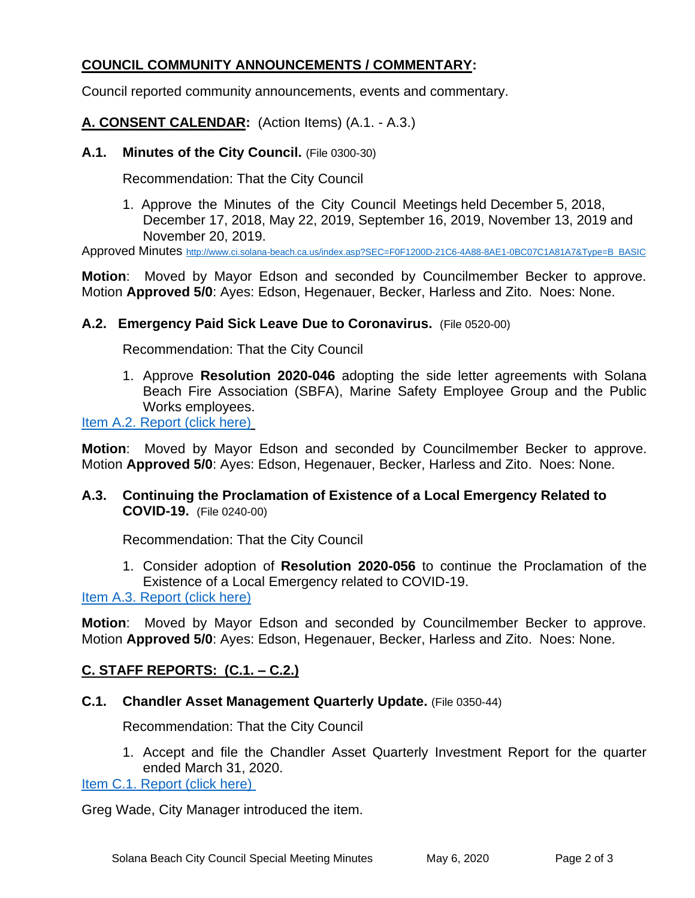## **COUNCIL COMMUNITY ANNOUNCEMENTS / COMMENTARY:**

Council reported community announcements, events and commentary.

**A. CONSENT CALENDAR:** (Action Items) (A.1. - A.3.)

**A.1. Minutes of the City Council.** (File 0300-30)

Recommendation: That the City Council

1. Approve the Minutes of the City Council Meetings held December 5, 2018, December 17, 2018, May 22, 2019, September 16, 2019, November 13, 2019 and November 20, 2019.

Approved Minutes [http://www.ci.solana-beach.ca.us/index.asp?SEC=F0F1200D-21C6-4A88-8AE1-0BC07C1A81A7&Type=B\\_BASIC](http://www.ci.solana-beach.ca.us/index.asp?SEC=F0F1200D-21C6-4A88-8AE1-0BC07C1A81A7&Type=B_BASIC)

**Motion**: Moved by Mayor Edson and seconded by Councilmember Becker to approve. Motion **Approved 5/0**: Ayes: Edson, Hegenauer, Becker, Harless and Zito. Noes: None.

#### **A.2. Emergency Paid Sick Leave Due to Coronavirus.** (File 0520-00)

Recommendation: That the City Council

1. Approve **Resolution 2020-046** adopting the side letter agreements with Solana Beach Fire Association (SBFA), Marine Safety Employee Group and the Public Works employees.

#### [Item A.2. Report \(click here\)](https://solanabeach.govoffice3.com/vertical/Sites/%7B840804C2-F869-4904-9AE3-720581350CE7%7D/uploads/Item_A.2._Report_(click_here)_05-06-20_-_O.pdf)

**Motion**: Moved by Mayor Edson and seconded by Councilmember Becker to approve. Motion **Approved 5/0**: Ayes: Edson, Hegenauer, Becker, Harless and Zito. Noes: None.

#### **A.3. Continuing the Proclamation of Existence of a Local Emergency Related to COVID-19.** (File 0240-00)

Recommendation: That the City Council

1. Consider adoption of **Resolution 2020-056** to continue the Proclamation of the Existence of a Local Emergency related to COVID-19.

[Item A.3. Report \(click here\)](https://solanabeach.govoffice3.com/vertical/Sites/%7B840804C2-F869-4904-9AE3-720581350CE7%7D/uploads/Item_A.3._Report_(click_here)_05-06-20_-_O.pdf)

**Motion**: Moved by Mayor Edson and seconded by Councilmember Becker to approve. Motion **Approved 5/0**: Ayes: Edson, Hegenauer, Becker, Harless and Zito. Noes: None.

#### **C. STAFF REPORTS: (C.1. – C.2.)**

#### **C.1. Chandler Asset Management Quarterly Update.** (File 0350-44)

Recommendation: That the City Council

1. Accept and file the Chandler Asset Quarterly Investment Report for the quarter ended March 31, 2020.

[Item C.1. Report \(click here\)](https://solanabeach.govoffice3.com/vertical/Sites/%7B840804C2-F869-4904-9AE3-720581350CE7%7D/uploads/Item_C.1._Report_(click_here)_05-06-20_-_O.pdf) 

Greg Wade, City Manager introduced the item.